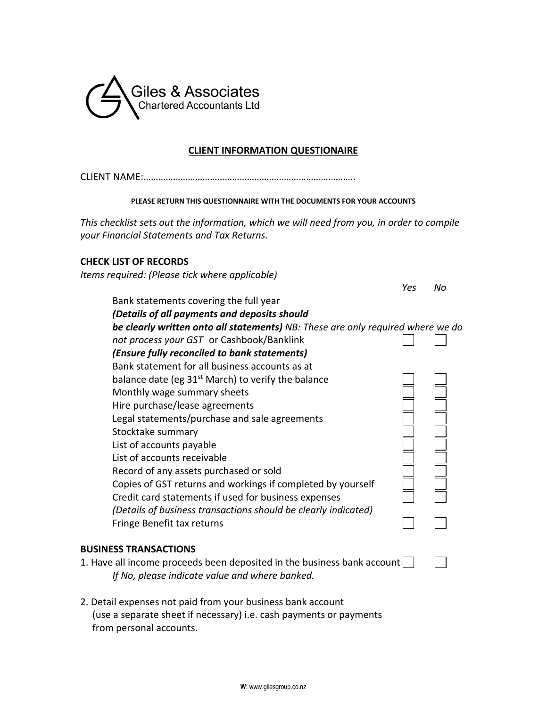

#### **CLIENT INFORMATION QUESTIONAIRE**

#### **PLEASE RETURN THIS QUESTIONNAIRE WITH THE DOCUMENTS FOR YOUR ACCOUNTS**

*This checklist sets out the information, which we will need from you, in order to compile your Financial Statements and Tax Returns.*

#### **CHECK LIST OF RECORDS**

*Items required: (Please tick where applicable)*

|                                                                                 | Yes | N٥ |
|---------------------------------------------------------------------------------|-----|----|
| Bank statements covering the full year                                          |     |    |
| (Details of all payments and deposits should                                    |     |    |
| be clearly written onto all statements) NB: These are only required where we do |     |    |
| not process your GST or Cashbook/Banklink                                       |     |    |
| (Ensure fully reconciled to bank statements)                                    |     |    |
| Bank statement for all business accounts as at                                  |     |    |
| balance date (eg $31st$ March) to verify the balance                            |     |    |
| Monthly wage summary sheets                                                     |     |    |
| Hire purchase/lease agreements                                                  |     |    |
| Legal statements/purchase and sale agreements                                   |     |    |
| Stocktake summary                                                               |     |    |
| List of accounts payable                                                        |     |    |
| List of accounts receivable                                                     |     |    |
| Record of any assets purchased or sold                                          |     |    |
| Copies of GST returns and workings if completed by yourself                     |     |    |
| Credit card statements if used for business expenses                            |     |    |
| (Details of business transactions should be clearly indicated)                  |     |    |
| Fringe Benefit tax returns                                                      |     |    |
|                                                                                 |     |    |
|                                                                                 |     |    |

#### **BUSINESS TRANSACTIONS**

1. Have all income proceeds been deposited in the business bank account *If No, please indicate value and where banked.*

2. Detail expenses not paid from your business bank account (use a separate sheet if necessary) i.e. cash payments or payments from personal accounts.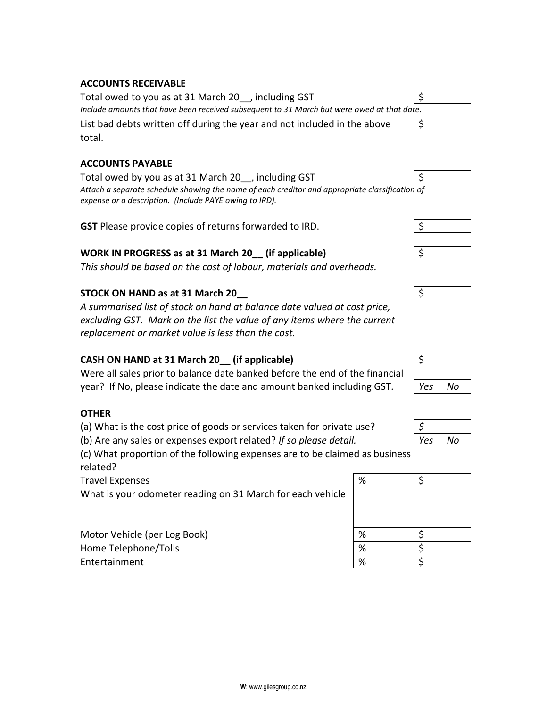### **ACCOUNTS RECEIVABLE**

Total owed to you as at 31 March 20\_\_, including GST \$ *Include amounts that have been received subsequent to 31 March but were owed at that da* List bad debts written off during the year and not included in the above \$ total.

### **ACCOUNTS PAYABLE**

Total owed by you as at 31 March 20 \_, including GST  $\vert$  \$ *Attach a separate schedule showing the name of each creditor and appropriate classification of expense or a description. (Include PAYE owing to IRD).*

| <b>GST</b> Please provide copies of returns forwarded to IRD. |  |  |
|---------------------------------------------------------------|--|--|
|---------------------------------------------------------------|--|--|

# **WORK IN PROGRESS as at 31 March 20** (if applicable)  $\vert \xi \rangle$

*This should be based on the cost of labour, materials and overheads.*

### **STOCK ON HAND as at 31 March 20\_\_** \$

*A summarised list of stock on hand at balance date valued at cost price, excluding GST. Mark on the list the value of any items where the current replacement or market value is less than the cost.*

# **CASH ON HAND at 31 March 20\_\_ (if applicable)** \$

Were all sales prior to balance date banked before the end of the financial year? If No, please indicate the date and amount banked including GST. *Yes No*

#### **OTHER**

- (a) What is the cost price of goods or services taken for private use? *\$*
- (b) Are any sales or expenses export related? If so please detail.

(c) What proportion of the following expenses are to be claimed as business related?

Travel Expenses

What is your odometer reading on 31 March for each vehicle

Motor Vehicle (per Log Book) Home Telephone/Tolls **Entertainment** 

| ite. |  |  |
|------|--|--|
|      |  |  |
|      |  |  |

| ٦<br>৴<br>т    |  |  |
|----------------|--|--|
| <u>م.</u><br>໋ |  |  |







| . .<br>-- | . |
|-----------|---|
|           |   |
|           |   |
|           |   |
|           |   |

| ρς | ۷o |
|----|----|

| $\%$            | \$            |
|-----------------|---------------|
|                 |               |
|                 |               |
|                 |               |
|                 |               |
| $\frac{\%}{\%}$ | $\frac{5}{5}$ |
|                 |               |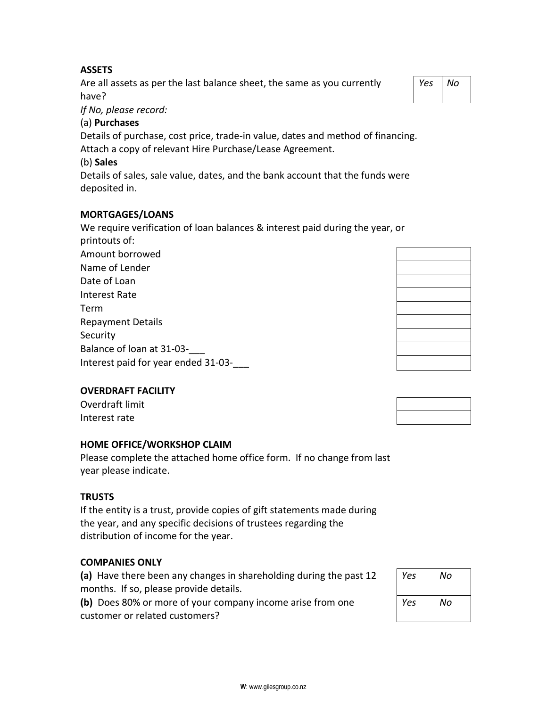Are all assets as per the last balance sheet, the same as you currently have?

*If No, please record:*

# (a) **Purchases**

Details of purchase, cost price, trade-in value, dates and method of financing.

Attach a copy of relevant Hire Purchase/Lease Agreement.

# (b) **Sales**

Details of sales, sale value, dates, and the bank account that the funds were deposited in.

# **MORTGAGES/LOANS**

We require verification of loan balances & interest paid during the year, or printouts of: Amount borrowed

| Name of Lender                      |
|-------------------------------------|
| Date of Loan                        |
| Interest Rate                       |
| Term                                |
| <b>Repayment Details</b>            |
| Security                            |
| Balance of loan at 31-03-           |
| Interest paid for year ended 31-03- |

# **OVERDRAFT FACILITY**

Overdraft limit Interest rate

# **HOME OFFICE/WORKSHOP CLAIM**

Please complete the attached home office form. If no change from last year please indicate.

#### **TRUSTS**

If the entity is a trust, provide copies of gift statements made during the year, and any specific decisions of trustees regarding the distribution of income for the year.

#### **COMPANIES ONLY**

**(a)** Have there been any changes in shareholding during the past 12 months. If so, please provide details.

**(b)** Does 80% or more of your company income arise from one customer or related customers?

| Yes | No |
|-----|----|
| Yes | No |

| Yes<br>Nο |
|-----------|
|-----------|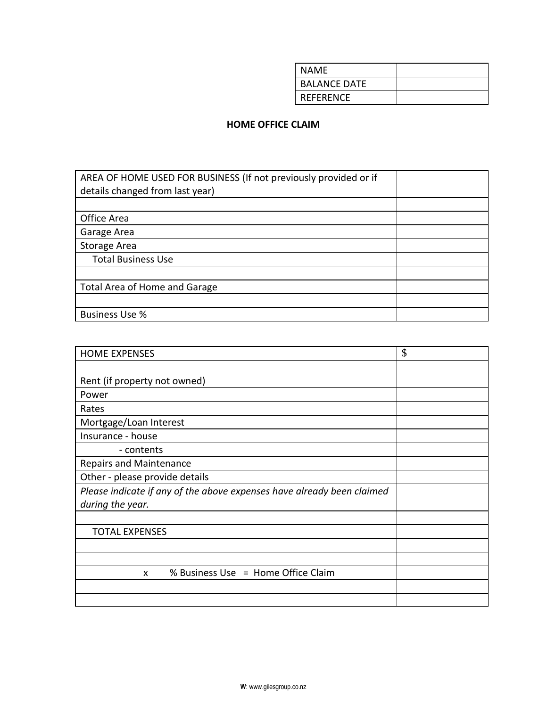| <b>NAME</b>         |  |
|---------------------|--|
| <b>BALANCE DATE</b> |  |
| <b>REFERENCE</b>    |  |

## **HOME OFFICE CLAIM**

| AREA OF HOME USED FOR BUSINESS (If not previously provided or if |  |
|------------------------------------------------------------------|--|
| details changed from last year)                                  |  |
|                                                                  |  |
| Office Area                                                      |  |
| Garage Area                                                      |  |
| Storage Area                                                     |  |
| <b>Total Business Use</b>                                        |  |
|                                                                  |  |
| Total Area of Home and Garage                                    |  |
|                                                                  |  |
| <b>Business Use %</b>                                            |  |

| \$ |
|----|
|    |
|    |
|    |
|    |
|    |
|    |
|    |
|    |
|    |
|    |
|    |
|    |
|    |
|    |
|    |
|    |
|    |
|    |
|    |